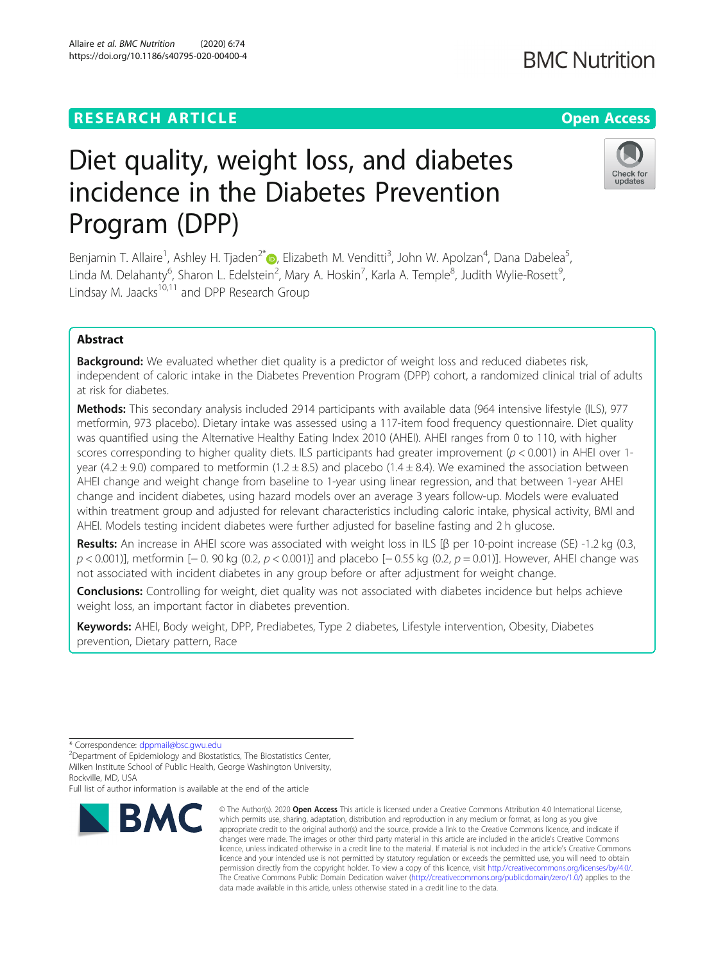## **RESEARCH ARTICLE Example 2014 12:30 The Contract of Contract ACCESS**

# Diet quality, weight loss, and diabetes incidence in the Diabetes Prevention Program (DPP)

Benjamin T. Allaire<sup>1</sup>[,](http://orcid.org/0000-0002-7674-5071) Ashley H. Tjaden<sup>2\*</sup>®, Elizabeth M. Venditti<sup>3</sup>, John W. Apolzan<sup>4</sup>, Dana Dabelea<sup>5</sup> , Linda M. Delahanty<sup>6</sup>, Sharon L. Edelstein<sup>2</sup>, Mary A. Hoskin<sup>7</sup>, Karla A. Temple<sup>8</sup>, Judith Wylie-Rosett<sup>9</sup> , Lindsay M. Jaacks $10,11$  and DPP Research Group

## Abstract

**Background:** We evaluated whether diet quality is a predictor of weight loss and reduced diabetes risk, independent of caloric intake in the Diabetes Prevention Program (DPP) cohort, a randomized clinical trial of adults at risk for diabetes.

Methods: This secondary analysis included 2914 participants with available data (964 intensive lifestyle (ILS), 977 metformin, 973 placebo). Dietary intake was assessed using a 117-item food frequency questionnaire. Diet quality was quantified using the Alternative Healthy Eating Index 2010 (AHEI). AHEI ranges from 0 to 110, with higher scores corresponding to higher quality diets. ILS participants had greater improvement ( $p < 0.001$ ) in AHEI over 1year (4.2  $\pm$  9.0) compared to metformin (1.2  $\pm$  8.5) and placebo (1.4  $\pm$  8.4). We examined the association between AHEI change and weight change from baseline to 1-year using linear regression, and that between 1-year AHEI change and incident diabetes, using hazard models over an average 3 years follow-up. Models were evaluated within treatment group and adjusted for relevant characteristics including caloric intake, physical activity, BMI and AHEI. Models testing incident diabetes were further adjusted for baseline fasting and 2 h glucose.

Results: An increase in AHEI score was associated with weight loss in ILS [ $\beta$  per 10-point increase (SE) -1.2 kg (0.3, p < 0.001)], metformin [<sup>−</sup> 0. 90 kg (0.2, p < 0.001)] and placebo [<sup>−</sup> 0.55 kg (0.2, p = 0.01)]. However, AHEI change was not associated with incident diabetes in any group before or after adjustment for weight change.

**Conclusions:** Controlling for weight, diet quality was not associated with diabetes incidence but helps achieve weight loss, an important factor in diabetes prevention.

Keywords: AHEI, Body weight, DPP, Prediabetes, Type 2 diabetes, Lifestyle intervention, Obesity, Diabetes prevention, Dietary pattern, Race

**BMC** 

Full list of author information is available at the end of the article

data made available in this article, unless otherwise stated in a credit line to the data.

© The Author(s), 2020 **Open Access** This article is licensed under a Creative Commons Attribution 4.0 International License, which permits use, sharing, adaptation, distribution and reproduction in any medium or format, as long as you give



**BMC Nutrition** 



<sup>\*</sup> Correspondence: [dppmail@bsc.gwu.edu](mailto:dppmail@bsc.gwu.edu) <sup>2</sup>

 $2$ Department of Epidemiology and Biostatistics, The Biostatistics Center, Milken Institute School of Public Health, George Washington University, Rockville, MD, USA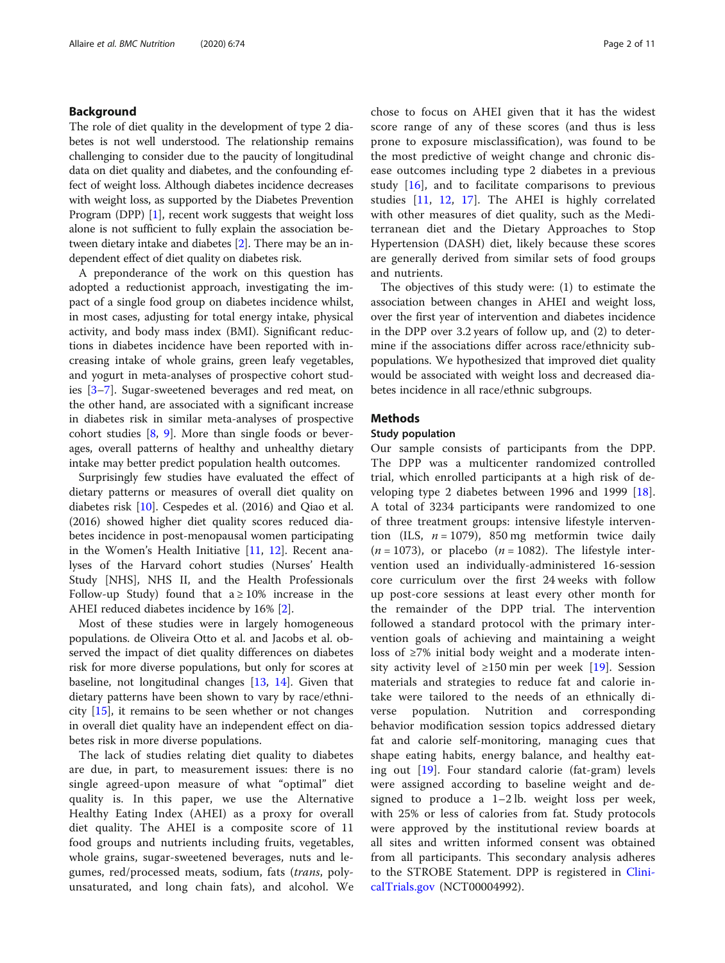## Background

The role of diet quality in the development of type 2 diabetes is not well understood. The relationship remains challenging to consider due to the paucity of longitudinal data on diet quality and diabetes, and the confounding effect of weight loss. Although diabetes incidence decreases with weight loss, as supported by the Diabetes Prevention Program (DPP) [\[1](#page-9-0)], recent work suggests that weight loss alone is not sufficient to fully explain the association between dietary intake and diabetes [[2\]](#page-9-0). There may be an independent effect of diet quality on diabetes risk.

A preponderance of the work on this question has adopted a reductionist approach, investigating the impact of a single food group on diabetes incidence whilst, in most cases, adjusting for total energy intake, physical activity, and body mass index (BMI). Significant reductions in diabetes incidence have been reported with increasing intake of whole grains, green leafy vegetables, and yogurt in meta-analyses of prospective cohort studies [[3](#page-9-0)–[7\]](#page-9-0). Sugar-sweetened beverages and red meat, on the other hand, are associated with a significant increase in diabetes risk in similar meta-analyses of prospective cohort studies [\[8](#page-9-0), [9](#page-9-0)]. More than single foods or beverages, overall patterns of healthy and unhealthy dietary intake may better predict population health outcomes.

Surprisingly few studies have evaluated the effect of dietary patterns or measures of overall diet quality on diabetes risk [[10\]](#page-9-0). Cespedes et al. (2016) and Qiao et al. (2016) showed higher diet quality scores reduced diabetes incidence in post-menopausal women participating in the Women's Health Initiative [[11,](#page-9-0) [12\]](#page-9-0). Recent analyses of the Harvard cohort studies (Nurses' Health Study [NHS], NHS II, and the Health Professionals Follow-up Study) found that  $a \ge 10\%$  increase in the AHEI reduced diabetes incidence by 16% [\[2](#page-9-0)].

Most of these studies were in largely homogeneous populations. de Oliveira Otto et al. and Jacobs et al. observed the impact of diet quality differences on diabetes risk for more diverse populations, but only for scores at baseline, not longitudinal changes [[13,](#page-9-0) [14](#page-9-0)]. Given that dietary patterns have been shown to vary by race/ethnicity [\[15](#page-9-0)], it remains to be seen whether or not changes in overall diet quality have an independent effect on diabetes risk in more diverse populations.

The lack of studies relating diet quality to diabetes are due, in part, to measurement issues: there is no single agreed-upon measure of what "optimal" diet quality is. In this paper, we use the Alternative Healthy Eating Index (AHEI) as a proxy for overall diet quality. The AHEI is a composite score of 11 food groups and nutrients including fruits, vegetables, whole grains, sugar-sweetened beverages, nuts and legumes, red/processed meats, sodium, fats (trans, polyunsaturated, and long chain fats), and alcohol. We chose to focus on AHEI given that it has the widest score range of any of these scores (and thus is less prone to exposure misclassification), was found to be the most predictive of weight change and chronic disease outcomes including type 2 diabetes in a previous study  $[16]$  $[16]$ , and to facilitate comparisons to previous studies [[11,](#page-9-0) [12](#page-9-0), [17](#page-9-0)]. The AHEI is highly correlated with other measures of diet quality, such as the Mediterranean diet and the Dietary Approaches to Stop Hypertension (DASH) diet, likely because these scores are generally derived from similar sets of food groups and nutrients.

The objectives of this study were: (1) to estimate the association between changes in AHEI and weight loss, over the first year of intervention and diabetes incidence in the DPP over 3.2 years of follow up, and (2) to determine if the associations differ across race/ethnicity subpopulations. We hypothesized that improved diet quality would be associated with weight loss and decreased diabetes incidence in all race/ethnic subgroups.

## **Methods**

#### Study population

Our sample consists of participants from the DPP. The DPP was a multicenter randomized controlled trial, which enrolled participants at a high risk of developing type 2 diabetes between 1996 and 1999 [\[18](#page-9-0)]. A total of 3234 participants were randomized to one of three treatment groups: intensive lifestyle intervention (ILS,  $n = 1079$ ), 850 mg metformin twice daily  $(n = 1073)$ , or placebo  $(n = 1082)$ . The lifestyle intervention used an individually-administered 16-session core curriculum over the first 24 weeks with follow up post-core sessions at least every other month for the remainder of the DPP trial. The intervention followed a standard protocol with the primary intervention goals of achieving and maintaining a weight loss of ≥7% initial body weight and a moderate intensity activity level of  $\geq 150$  min per week [\[19](#page-9-0)]. Session materials and strategies to reduce fat and calorie intake were tailored to the needs of an ethnically diverse population. Nutrition and corresponding behavior modification session topics addressed dietary fat and calorie self-monitoring, managing cues that shape eating habits, energy balance, and healthy eating out [\[19](#page-9-0)]. Four standard calorie (fat-gram) levels were assigned according to baseline weight and designed to produce a 1–2 lb. weight loss per week, with 25% or less of calories from fat. Study protocols were approved by the institutional review boards at all sites and written informed consent was obtained from all participants. This secondary analysis adheres to the STROBE Statement. DPP is registered in [Clini](http://clinicaltrials.gov)[calTrials.gov](http://clinicaltrials.gov) (NCT00004992).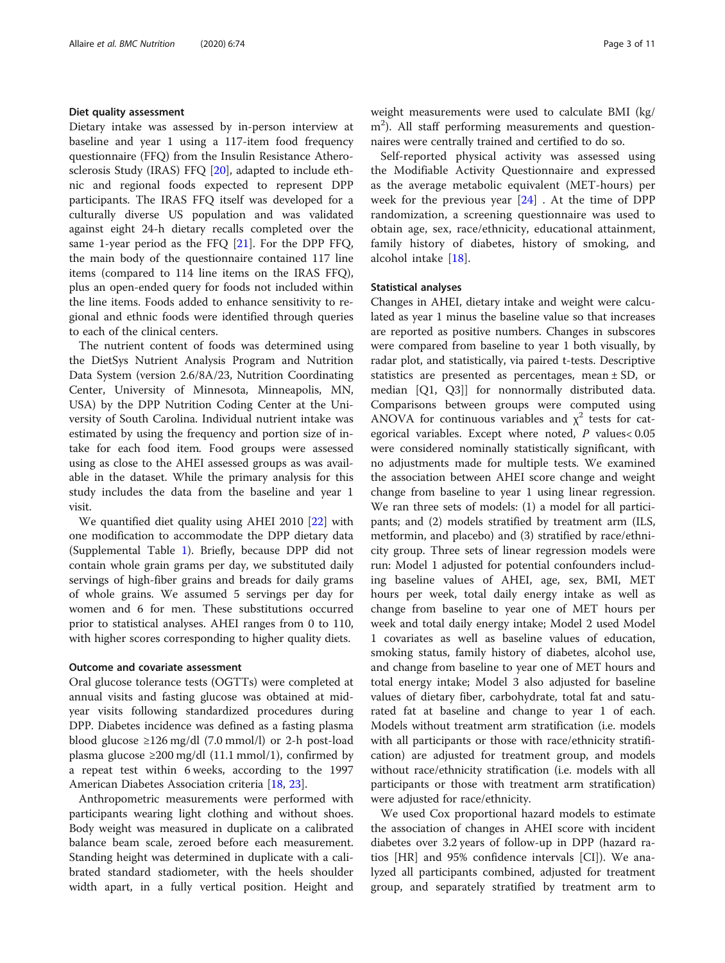#### Diet quality assessment

Dietary intake was assessed by in-person interview at baseline and year 1 using a 117-item food frequency questionnaire (FFQ) from the Insulin Resistance Atherosclerosis Study (IRAS) FFQ [[20](#page-9-0)], adapted to include ethnic and regional foods expected to represent DPP participants. The IRAS FFQ itself was developed for a culturally diverse US population and was validated against eight 24-h dietary recalls completed over the same 1-year period as the FFQ [[21](#page-9-0)]. For the DPP FFQ, the main body of the questionnaire contained 117 line items (compared to 114 line items on the IRAS FFQ), plus an open-ended query for foods not included within the line items. Foods added to enhance sensitivity to regional and ethnic foods were identified through queries to each of the clinical centers.

The nutrient content of foods was determined using the DietSys Nutrient Analysis Program and Nutrition Data System (version 2.6/8A/23, Nutrition Coordinating Center, University of Minnesota, Minneapolis, MN, USA) by the DPP Nutrition Coding Center at the University of South Carolina. Individual nutrient intake was estimated by using the frequency and portion size of intake for each food item. Food groups were assessed using as close to the AHEI assessed groups as was available in the dataset. While the primary analysis for this study includes the data from the baseline and year 1 visit.

We quantified diet quality using AHEI 2010 [\[22\]](#page-9-0) with one modification to accommodate the DPP dietary data (Supplemental Table [1](#page-8-0)). Briefly, because DPP did not contain whole grain grams per day, we substituted daily servings of high-fiber grains and breads for daily grams of whole grains. We assumed 5 servings per day for women and 6 for men. These substitutions occurred prior to statistical analyses. AHEI ranges from 0 to 110, with higher scores corresponding to higher quality diets.

#### Outcome and covariate assessment

Oral glucose tolerance tests (OGTTs) were completed at annual visits and fasting glucose was obtained at midyear visits following standardized procedures during DPP. Diabetes incidence was defined as a fasting plasma blood glucose  $\geq 126$  mg/dl (7.0 mmol/l) or 2-h post-load plasma glucose ≥200 mg/dl (11.1 mmol/1), confirmed by a repeat test within 6 weeks, according to the 1997 American Diabetes Association criteria [[18](#page-9-0), [23](#page-9-0)].

Anthropometric measurements were performed with participants wearing light clothing and without shoes. Body weight was measured in duplicate on a calibrated balance beam scale, zeroed before each measurement. Standing height was determined in duplicate with a calibrated standard stadiometer, with the heels shoulder width apart, in a fully vertical position. Height and weight measurements were used to calculate BMI (kg/ m<sup>2</sup>). All staff performing measurements and questionnaires were centrally trained and certified to do so.

Self-reported physical activity was assessed using the Modifiable Activity Questionnaire and expressed as the average metabolic equivalent (MET-hours) per week for the previous year  $[24]$  $[24]$ . At the time of DPP randomization, a screening questionnaire was used to obtain age, sex, race/ethnicity, educational attainment, family history of diabetes, history of smoking, and alcohol intake [\[18](#page-9-0)].

#### Statistical analyses

Changes in AHEI, dietary intake and weight were calculated as year 1 minus the baseline value so that increases are reported as positive numbers. Changes in subscores were compared from baseline to year 1 both visually, by radar plot, and statistically, via paired t-tests. Descriptive statistics are presented as percentages, mean ± SD, or median [Q1, Q3]] for nonnormally distributed data. Comparisons between groups were computed using ANOVA for continuous variables and  $\chi^2$  tests for categorical variables. Except where noted, P values< 0.05 were considered nominally statistically significant, with no adjustments made for multiple tests. We examined the association between AHEI score change and weight change from baseline to year 1 using linear regression. We ran three sets of models: (1) a model for all participants; and (2) models stratified by treatment arm (ILS, metformin, and placebo) and (3) stratified by race/ethnicity group. Three sets of linear regression models were run: Model 1 adjusted for potential confounders including baseline values of AHEI, age, sex, BMI, MET hours per week, total daily energy intake as well as change from baseline to year one of MET hours per week and total daily energy intake; Model 2 used Model 1 covariates as well as baseline values of education, smoking status, family history of diabetes, alcohol use, and change from baseline to year one of MET hours and total energy intake; Model 3 also adjusted for baseline values of dietary fiber, carbohydrate, total fat and saturated fat at baseline and change to year 1 of each. Models without treatment arm stratification (i.e. models with all participants or those with race/ethnicity stratification) are adjusted for treatment group, and models without race/ethnicity stratification (i.e. models with all participants or those with treatment arm stratification) were adjusted for race/ethnicity.

We used Cox proportional hazard models to estimate the association of changes in AHEI score with incident diabetes over 3.2 years of follow-up in DPP (hazard ratios [HR] and 95% confidence intervals [CI]). We analyzed all participants combined, adjusted for treatment group, and separately stratified by treatment arm to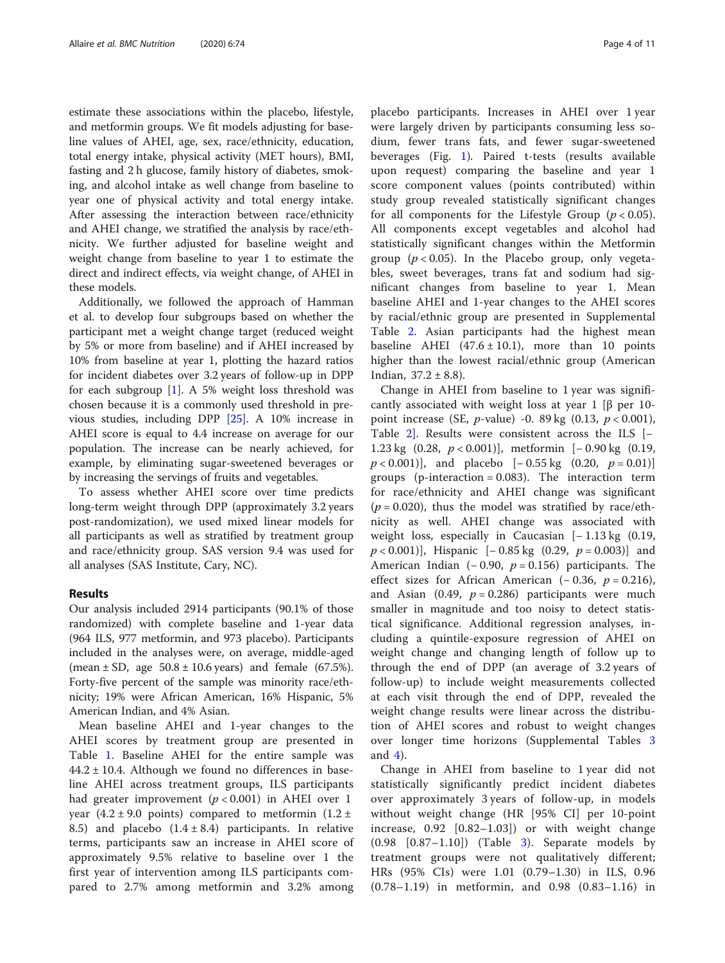estimate these associations within the placebo, lifestyle, and metformin groups. We fit models adjusting for baseline values of AHEI, age, sex, race/ethnicity, education, total energy intake, physical activity (MET hours), BMI, fasting and 2 h glucose, family history of diabetes, smoking, and alcohol intake as well change from baseline to year one of physical activity and total energy intake. After assessing the interaction between race/ethnicity and AHEI change, we stratified the analysis by race/ethnicity. We further adjusted for baseline weight and weight change from baseline to year 1 to estimate the direct and indirect effects, via weight change, of AHEI in these models.

Additionally, we followed the approach of Hamman et al. to develop four subgroups based on whether the participant met a weight change target (reduced weight by 5% or more from baseline) and if AHEI increased by 10% from baseline at year 1, plotting the hazard ratios for incident diabetes over 3.2 years of follow-up in DPP for each subgroup  $[1]$  $[1]$ . A 5% weight loss threshold was chosen because it is a commonly used threshold in previous studies, including DPP [\[25](#page-9-0)]. A 10% increase in AHEI score is equal to 4.4 increase on average for our population. The increase can be nearly achieved, for example, by eliminating sugar-sweetened beverages or by increasing the servings of fruits and vegetables.

To assess whether AHEI score over time predicts long-term weight through DPP (approximately 3.2 years post-randomization), we used mixed linear models for all participants as well as stratified by treatment group and race/ethnicity group. SAS version 9.4 was used for all analyses (SAS Institute, Cary, NC).

### Results

Our analysis included 2914 participants (90.1% of those randomized) with complete baseline and 1-year data (964 ILS, 977 metformin, and 973 placebo). Participants included in the analyses were, on average, middle-aged (mean  $\pm$  SD, age  $50.8 \pm 10.6$  years) and female (67.5%). Forty-five percent of the sample was minority race/ethnicity; 19% were African American, 16% Hispanic, 5% American Indian, and 4% Asian.

Mean baseline AHEI and 1-year changes to the AHEI scores by treatment group are presented in Table [1.](#page-4-0) Baseline AHEI for the entire sample was  $44.2 \pm 10.4$ . Although we found no differences in baseline AHEI across treatment groups, ILS participants had greater improvement ( $p < 0.001$ ) in AHEI over 1 year  $(4.2 \pm 9.0 \text{ points})$  compared to metformin  $(1.2 \pm 1.0 \text{ points})$ 8.5) and placebo  $(1.4 \pm 8.4)$  participants. In relative terms, participants saw an increase in AHEI score of approximately 9.5% relative to baseline over 1 the first year of intervention among ILS participants compared to 2.7% among metformin and 3.2% among placebo participants. Increases in AHEI over 1 year were largely driven by participants consuming less sodium, fewer trans fats, and fewer sugar-sweetened beverages (Fig. [1\)](#page-5-0). Paired t-tests (results available upon request) comparing the baseline and year 1 score component values (points contributed) within study group revealed statistically significant changes for all components for the Lifestyle Group ( $p < 0.05$ ). All components except vegetables and alcohol had statistically significant changes within the Metformin group ( $p < 0.05$ ). In the Placebo group, only vegetables, sweet beverages, trans fat and sodium had significant changes from baseline to year 1. Mean baseline AHEI and 1-year changes to the AHEI scores by racial/ethnic group are presented in Supplemental Table [2](#page-8-0). Asian participants had the highest mean baseline AHEI  $(47.6 \pm 10.1)$ , more than 10 points higher than the lowest racial/ethnic group (American Indian,  $37.2 \pm 8.8$ ).

Change in AHEI from baseline to 1 year was significantly associated with weight loss at year 1 [β per 10point increase (SE, *p*-value) -0. 89 kg  $(0.13, p < 0.001)$ , Table [2\]](#page-6-0). Results were consistent across the ILS  $[-]$ 1.23 kg  $(0.28, p < 0.001)$ , metformin  $[-0.90 \text{ kg } (0.19,$  $p < 0.001$ ], and placebo  $[-0.55 \text{ kg} (0.20, p = 0.01)]$ groups (p-interaction =  $0.083$ ). The interaction term for race/ethnicity and AHEI change was significant  $(p = 0.020)$ , thus the model was stratified by race/ethnicity as well. AHEI change was associated with weight loss, especially in Caucasian  $[-1.13 \text{ kg} (0.19,$  $p < 0.001$ ], Hispanic [−0.85 kg (0.29,  $p = 0.003$ )] and American Indian  $(-0.90, p = 0.156)$  participants. The effect sizes for African American  $(-0.36, p = 0.216)$ , and Asian (0.49,  $p = 0.286$ ) participants were much smaller in magnitude and too noisy to detect statistical significance. Additional regression analyses, including a quintile-exposure regression of AHEI on weight change and changing length of follow up to through the end of DPP (an average of 3.2 years of follow-up) to include weight measurements collected at each visit through the end of DPP, revealed the weight change results were linear across the distribution of AHEI scores and robust to weight changes over longer time horizons (Supplemental Tables [3](#page-8-0) and  $4$ ).

Change in AHEI from baseline to 1 year did not statistically significantly predict incident diabetes over approximately 3 years of follow-up, in models without weight change (HR [95% CI] per 10-point increase, 0.92 [0.82–1.03]) or with weight change  $(0.98 \quad [0.87-1.10])$  (Table [3](#page-6-0)). Separate models by treatment groups were not qualitatively different; HRs (95% CIs) were 1.01 (0.79–1.30) in ILS, 0.96 (0.78–1.19) in metformin, and 0.98 (0.83–1.16) in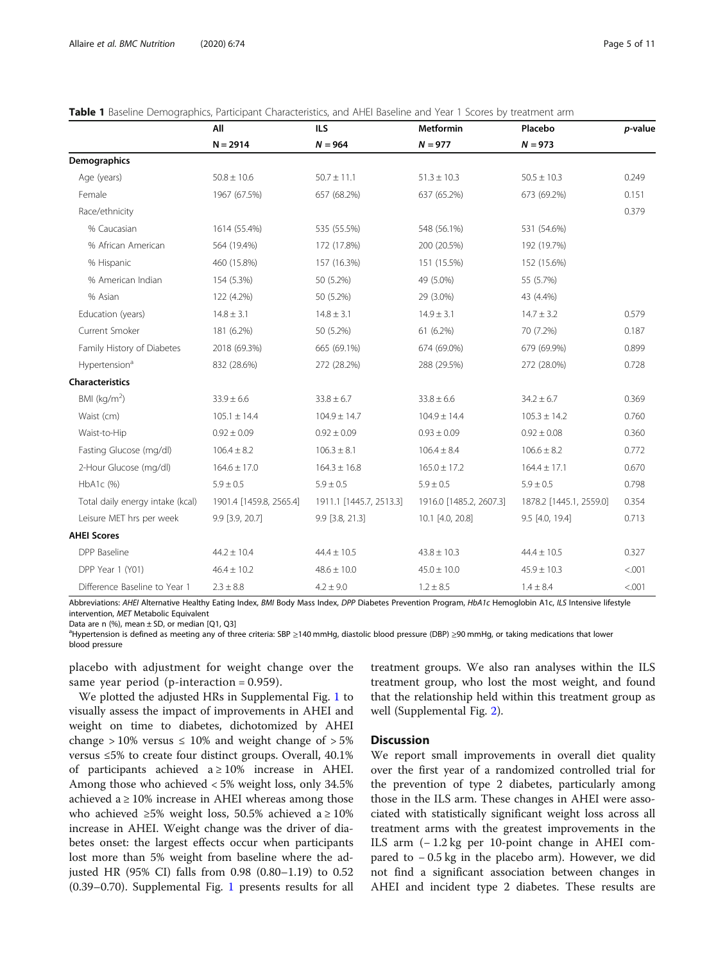|                                  | All                     | <b>ILS</b>              | <b>Metformin</b>        | Placebo                 | p-value |
|----------------------------------|-------------------------|-------------------------|-------------------------|-------------------------|---------|
|                                  | $N = 2914$              | $N = 964$               | $N = 977$               | $N = 973$               |         |
| Demographics                     |                         |                         |                         |                         |         |
| Age (years)                      | $50.8 \pm 10.6$         | $50.7 \pm 11.1$         | $51.3 \pm 10.3$         | $50.5 \pm 10.3$         | 0.249   |
| Female                           | 1967 (67.5%)            | 657 (68.2%)             | 637 (65.2%)             | 673 (69.2%)             | 0.151   |
| Race/ethnicity                   |                         |                         |                         |                         | 0.379   |
| % Caucasian                      | 1614 (55.4%)            | 535 (55.5%)             | 548 (56.1%)             | 531 (54.6%)             |         |
| % African American               | 564 (19.4%)             | 172 (17.8%)             | 200 (20.5%)             | 192 (19.7%)             |         |
| % Hispanic                       | 460 (15.8%)             | 157 (16.3%)             | 151 (15.5%)             | 152 (15.6%)             |         |
| % American Indian                | 154 (5.3%)              | 50 (5.2%)               | 49 (5.0%)               | 55 (5.7%)               |         |
| % Asian                          | 122 (4.2%)              | 50 (5.2%)               | 29 (3.0%)               | 43 (4.4%)               |         |
| Education (years)                | $14.8 \pm 3.1$          | $14.8 \pm 3.1$          | $14.9 \pm 3.1$          | $14.7 \pm 3.2$          | 0.579   |
| Current Smoker                   | 181 (6.2%)              | 50 (5.2%)               | 61 (6.2%)               | 70 (7.2%)               | 0.187   |
| Family History of Diabetes       | 2018 (69.3%)            | 665 (69.1%)             | 674 (69.0%)             | 679 (69.9%)             | 0.899   |
| Hypertension <sup>a</sup>        | 832 (28.6%)             | 272 (28.2%)             | 288 (29.5%)             | 272 (28.0%)             | 0.728   |
| <b>Characteristics</b>           |                         |                         |                         |                         |         |
| BMI ( $kg/m2$ )                  | $33.9 \pm 6.6$          | $33.8 \pm 6.7$          | $33.8 \pm 6.6$          | $34.2 \pm 6.7$          | 0.369   |
| Waist (cm)                       | $105.1 \pm 14.4$        | $104.9 \pm 14.7$        | $104.9 \pm 14.4$        | $105.3 \pm 14.2$        | 0.760   |
| Waist-to-Hip                     | $0.92 \pm 0.09$         | $0.92 \pm 0.09$         | $0.93 \pm 0.09$         | $0.92 \pm 0.08$         | 0.360   |
| Fasting Glucose (mg/dl)          | $106.4 \pm 8.2$         | $106.3 \pm 8.1$         | $106.4 \pm 8.4$         | $106.6 \pm 8.2$         | 0.772   |
| 2-Hour Glucose (mg/dl)           | $164.6 \pm 17.0$        | $164.3 \pm 16.8$        | $165.0 \pm 17.2$        | $164.4 \pm 17.1$        | 0.670   |
| HbA1c (%)                        | $5.9 \pm 0.5$           | $5.9 \pm 0.5$           | $5.9 \pm 0.5$           | $5.9 \pm 0.5$           | 0.798   |
| Total daily energy intake (kcal) | 1901.4 [1459.8, 2565.4] | 1911.1 [1445.7, 2513.3] | 1916.0 [1485.2, 2607.3] | 1878.2 [1445.1, 2559.0] | 0.354   |
| Leisure MET hrs per week         | 9.9 [3.9, 20.7]         | 9.9 [3.8, 21.3]         | 10.1 [4.0, 20.8]        | 9.5 [4.0, 19.4]         | 0.713   |
| <b>AHEI Scores</b>               |                         |                         |                         |                         |         |
| DPP Baseline                     | $44.2 \pm 10.4$         | $44.4 \pm 10.5$         | $43.8 \pm 10.3$         | $44.4 \pm 10.5$         | 0.327   |
| DPP Year 1 (Y01)                 | $46.4 \pm 10.2$         | $48.6 \pm 10.0$         | $45.0 \pm 10.0$         | $45.9 \pm 10.3$         | < .001  |
| Difference Baseline to Year 1    | $2.3 \pm 8.8$           | $4.2 \pm 9.0$           | $1.2 \pm 8.5$           | $1.4 \pm 8.4$           | < .001  |

<span id="page-4-0"></span>

|  |  | Table 1 Baseline Demographics, Participant Characteristics, and AHEI Baseline and Year 1 Scores by treatment arm |
|--|--|------------------------------------------------------------------------------------------------------------------|
|  |  |                                                                                                                  |

Abbreviations: AHEI Alternative Healthy Eating Index, BMI Body Mass Index, DPP Diabetes Prevention Program, HbA1c Hemoglobin A1c, ILS Intensive lifestyle intervention, MET Metabolic Equivalent

Data are n  $(\%)$ , mean  $\pm$  SD, or median [Q1, Q3]

a<br>Hypertension is defined as meeting any of three criteria: SBP ≥140 mmHg, diastolic blood pressure (DBP) ≥90 mmHg, or taking medications that lower blood pressure

placebo with adjustment for weight change over the same year period (p-interaction  $= 0.959$ ).

We plotted the adjusted HRs in Supplemental Fig. [1](#page-8-0) to visually assess the impact of improvements in AHEI and weight on time to diabetes, dichotomized by AHEI change  $>10\%$  versus  $\leq 10\%$  and weight change of  $>5\%$ versus ≤5% to create four distinct groups. Overall, 40.1% of participants achieved  $a \ge 10\%$  increase in AHEI. Among those who achieved < 5% weight loss, only 34.5% achieved a  $\geq$  10% increase in AHEI whereas among those who achieved ≥5% weight loss, 50.5% achieved a ≥ 10% increase in AHEI. Weight change was the driver of diabetes onset: the largest effects occur when participants lost more than 5% weight from baseline where the adjusted HR (95% CI) falls from 0.98 (0.80–1.19) to 0.52 (0.39–0.70). Supplemental Fig. [1](#page-8-0) presents results for all

treatment groups. We also ran analyses within the ILS treatment group, who lost the most weight, and found that the relationship held within this treatment group as well (Supplemental Fig. [2](#page-8-0)).

#### **Discussion**

We report small improvements in overall diet quality over the first year of a randomized controlled trial for the prevention of type 2 diabetes, particularly among those in the ILS arm. These changes in AHEI were associated with statistically significant weight loss across all treatment arms with the greatest improvements in the ILS arm (− 1.2 kg per 10-point change in AHEI compared to − 0.5 kg in the placebo arm). However, we did not find a significant association between changes in AHEI and incident type 2 diabetes. These results are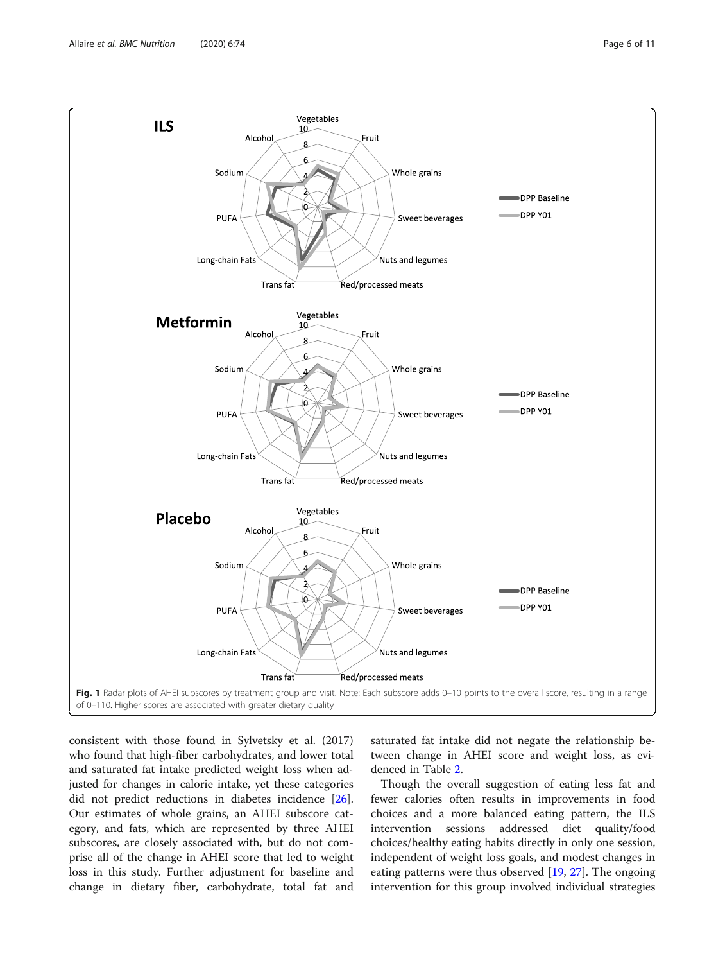<span id="page-5-0"></span>

consistent with those found in Sylvetsky et al. (2017) who found that high-fiber carbohydrates, and lower total and saturated fat intake predicted weight loss when adjusted for changes in calorie intake, yet these categories did not predict reductions in diabetes incidence [\[26](#page-9-0)]. Our estimates of whole grains, an AHEI subscore category, and fats, which are represented by three AHEI subscores, are closely associated with, but do not comprise all of the change in AHEI score that led to weight loss in this study. Further adjustment for baseline and change in dietary fiber, carbohydrate, total fat and

saturated fat intake did not negate the relationship between change in AHEI score and weight loss, as evidenced in Table [2](#page-6-0).

Though the overall suggestion of eating less fat and fewer calories often results in improvements in food choices and a more balanced eating pattern, the ILS intervention sessions addressed diet quality/food choices/healthy eating habits directly in only one session, independent of weight loss goals, and modest changes in eating patterns were thus observed [\[19](#page-9-0), [27](#page-9-0)]. The ongoing intervention for this group involved individual strategies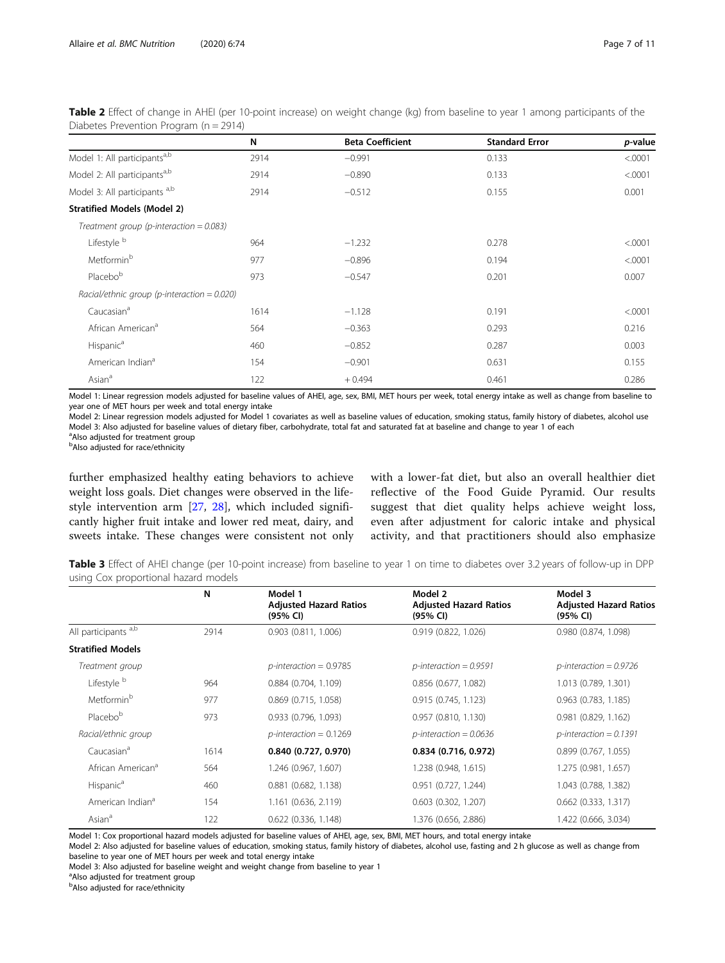| Piabetes + Tevention + Togram (11 = 22 + 1)   |      |                         |                       |         |  |
|-----------------------------------------------|------|-------------------------|-----------------------|---------|--|
|                                               | N    | <b>Beta Coefficient</b> | <b>Standard Error</b> | p-value |  |
| Model 1: All participants <sup>a,b</sup>      | 2914 | $-0.991$                | 0.133                 | < .0001 |  |
| Model 2: All participants <sup>a,b</sup>      | 2914 | $-0.890$                | 0.133                 | < .0001 |  |
| Model 3: All participants a,b                 | 2914 | $-0.512$                | 0.155                 | 0.001   |  |
| <b>Stratified Models (Model 2)</b>            |      |                         |                       |         |  |
| Treatment group (p-interaction = $0.083$ )    |      |                         |                       |         |  |
| Lifestyle <sup>b</sup>                        | 964  | $-1.232$                | 0.278                 | < .0001 |  |
| Metformin <sup>b</sup>                        | 977  | $-0.896$                | 0.194                 | < .0001 |  |
| Placebob                                      | 973  | $-0.547$                | 0.201                 | 0.007   |  |
| $Racial/ethnic group (p-interaction = 0.020)$ |      |                         |                       |         |  |
| Caucasian <sup>a</sup>                        | 1614 | $-1.128$                | 0.191                 | < .0001 |  |
| African American <sup>a</sup>                 | 564  | $-0.363$                | 0.293                 | 0.216   |  |
| Hispanic <sup>a</sup>                         | 460  | $-0.852$                | 0.287                 | 0.003   |  |
| American Indian <sup>a</sup>                  | 154  | $-0.901$                | 0.631                 | 0.155   |  |
| Asian <sup>a</sup>                            | 122  | $+0.494$                | 0.461                 | 0.286   |  |

<span id="page-6-0"></span>Table 2 Effect of change in AHEI (per 10-point increase) on weight change (kg) from baseline to year 1 among participants of the Diabetes Prevention Program (n - 2014)

Model 1: Linear regression models adjusted for baseline values of AHEI, age, sex, BMI, MET hours per week, total energy intake as well as change from baseline to year one of MET hours per week and total energy intake

Model 2: Linear regression models adjusted for Model 1 covariates as well as baseline values of education, smoking status, family history of diabetes, alcohol use Model 3: Also adjusted for baseline values of dietary fiber, carbohydrate, total fat and saturated fat at baseline and change to year 1 of each

<sup>a</sup>Also adjusted for treatment group

**b**Also adjusted for race/ethnicity

further emphasized healthy eating behaviors to achieve weight loss goals. Diet changes were observed in the lifestyle intervention arm [[27,](#page-9-0) [28](#page-9-0)], which included significantly higher fruit intake and lower red meat, dairy, and sweets intake. These changes were consistent not only with a lower-fat diet, but also an overall healthier diet reflective of the Food Guide Pyramid. Our results suggest that diet quality helps achieve weight loss, even after adjustment for caloric intake and physical activity, and that practitioners should also emphasize

Table 3 Effect of AHEI change (per 10-point increase) from baseline to year 1 on time to diabetes over 3.2 years of follow-up in DPP using Cox proportional hazard models

|                               | N    | Model 1<br><b>Adjusted Hazard Ratios</b><br>(95% CI) | Model 2<br><b>Adjusted Hazard Ratios</b><br>$(95% \text{ Cl})$ | Model 3<br><b>Adjusted Hazard Ratios</b><br>(95% CI) |
|-------------------------------|------|------------------------------------------------------|----------------------------------------------------------------|------------------------------------------------------|
| All participants a,b          | 2914 | $0.903$ $(0.811, 1.006)$                             | 0.919 (0.822, 1.026)                                           | 0.980 (0.874, 1.098)                                 |
| <b>Stratified Models</b>      |      |                                                      |                                                                |                                                      |
| Treatment group               |      | $p$ -interaction = 0.9785                            | $p$ -interaction = 0.9591                                      | $p$ -interaction = 0.9726                            |
| Lifestyle <sup>b</sup>        | 964  | 0.884(0.704, 1.109)                                  | 0.856 (0.677, 1.082)                                           | 1.013 (0.789, 1.301)                                 |
| Metformin <sup>b</sup>        | 977  | $0.869$ (0.715, 1.058)                               | 0.915(0.745, 1.123)                                            | $0.963$ (0.783, 1.185)                               |
| Placebo <sup>b</sup>          | 973  | 0.933 (0.796, 1.093)                                 | 0.957 (0.810, 1.130)                                           | $0.981$ (0.829, 1.162)                               |
| Racial/ethnic group           |      | $p$ -interaction = 0.1269                            | $p$ -interaction = 0.0636                                      | $p$ -interaction = 0.1391                            |
| Caucasian <sup>a</sup>        | 1614 | 0.840(0.727, 0.970)                                  | $0.834$ (0.716, 0.972)                                         | $0.899$ (0.767, 1.055)                               |
| African American <sup>a</sup> | 564  | 1.246 (0.967, 1.607)                                 | 1.238 (0.948, 1.615)                                           | 1.275 (0.981, 1.657)                                 |
| Hispanic <sup>a</sup>         | 460  | $0.881$ (0.682, 1.138)                               | $0.951$ $(0.727, 1.244)$                                       | 1.043 (0.788, 1.382)                                 |
| American Indian <sup>a</sup>  | 154  | 1.161 (0.636, 2.119)                                 | $0.603$ $(0.302, 1.207)$                                       | $0.662$ (0.333, 1.317)                               |
| Asian <sup>a</sup>            | 122  | $0.622$ (0.336, 1.148)                               | 1.376 (0.656, 2.886)                                           | 1.422 (0.666, 3.034)                                 |

Model 1: Cox proportional hazard models adjusted for baseline values of AHEI, age, sex, BMI, MET hours, and total energy intake

Model 2: Also adjusted for baseline values of education, smoking status, family history of diabetes, alcohol use, fasting and 2 h glucose as well as change from baseline to year one of MET hours per week and total energy intake

Model 3: Also adjusted for baseline weight and weight change from baseline to year 1

<sup>a</sup>Also adjusted for treatment group

**b**Also adjusted for race/ethnicity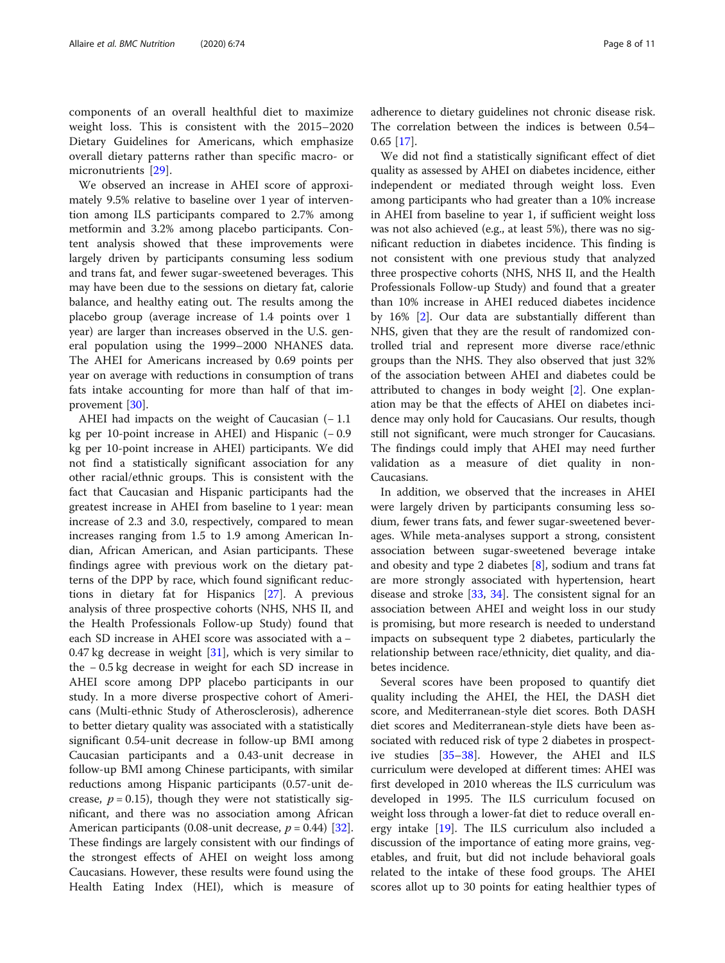components of an overall healthful diet to maximize weight loss. This is consistent with the 2015–2020 Dietary Guidelines for Americans, which emphasize overall dietary patterns rather than specific macro- or micronutrients [[29\]](#page-9-0).

We observed an increase in AHEI score of approximately 9.5% relative to baseline over 1 year of intervention among ILS participants compared to 2.7% among metformin and 3.2% among placebo participants. Content analysis showed that these improvements were largely driven by participants consuming less sodium and trans fat, and fewer sugar-sweetened beverages. This may have been due to the sessions on dietary fat, calorie balance, and healthy eating out. The results among the placebo group (average increase of 1.4 points over 1 year) are larger than increases observed in the U.S. general population using the 1999–2000 NHANES data. The AHEI for Americans increased by 0.69 points per year on average with reductions in consumption of trans fats intake accounting for more than half of that improvement [[30\]](#page-9-0).

AHEI had impacts on the weight of Caucasian  $(-1.1)$ kg per 10-point increase in AHEI) and Hispanic (− 0.9 kg per 10-point increase in AHEI) participants. We did not find a statistically significant association for any other racial/ethnic groups. This is consistent with the fact that Caucasian and Hispanic participants had the greatest increase in AHEI from baseline to 1 year: mean increase of 2.3 and 3.0, respectively, compared to mean increases ranging from 1.5 to 1.9 among American Indian, African American, and Asian participants. These findings agree with previous work on the dietary patterns of the DPP by race, which found significant reductions in dietary fat for Hispanics [[27\]](#page-9-0). A previous analysis of three prospective cohorts (NHS, NHS II, and the Health Professionals Follow-up Study) found that each SD increase in AHEI score was associated with a − 0.47 kg decrease in weight  $[31]$  $[31]$ , which is very similar to the − 0.5 kg decrease in weight for each SD increase in AHEI score among DPP placebo participants in our study. In a more diverse prospective cohort of Americans (Multi-ethnic Study of Atherosclerosis), adherence to better dietary quality was associated with a statistically significant 0.54-unit decrease in follow-up BMI among Caucasian participants and a 0.43-unit decrease in follow-up BMI among Chinese participants, with similar reductions among Hispanic participants (0.57-unit decrease,  $p = 0.15$ ), though they were not statistically significant, and there was no association among African American participants (0.08-unit decrease,  $p = 0.44$ ) [\[32](#page-10-0)]. These findings are largely consistent with our findings of the strongest effects of AHEI on weight loss among Caucasians. However, these results were found using the Health Eating Index (HEI), which is measure of

adherence to dietary guidelines not chronic disease risk. The correlation between the indices is between 0.54– 0.65 [[17\]](#page-9-0).

We did not find a statistically significant effect of diet quality as assessed by AHEI on diabetes incidence, either independent or mediated through weight loss. Even among participants who had greater than a 10% increase in AHEI from baseline to year 1, if sufficient weight loss was not also achieved (e.g., at least 5%), there was no significant reduction in diabetes incidence. This finding is not consistent with one previous study that analyzed three prospective cohorts (NHS, NHS II, and the Health Professionals Follow-up Study) and found that a greater than 10% increase in AHEI reduced diabetes incidence by 16% [\[2](#page-9-0)]. Our data are substantially different than NHS, given that they are the result of randomized controlled trial and represent more diverse race/ethnic groups than the NHS. They also observed that just 32% of the association between AHEI and diabetes could be attributed to changes in body weight [\[2](#page-9-0)]. One explanation may be that the effects of AHEI on diabetes incidence may only hold for Caucasians. Our results, though still not significant, were much stronger for Caucasians. The findings could imply that AHEI may need further validation as a measure of diet quality in non-Caucasians.

In addition, we observed that the increases in AHEI were largely driven by participants consuming less sodium, fewer trans fats, and fewer sugar-sweetened beverages. While meta-analyses support a strong, consistent association between sugar-sweetened beverage intake and obesity and type 2 diabetes [[8\]](#page-9-0), sodium and trans fat are more strongly associated with hypertension, heart disease and stroke [\[33](#page-10-0), [34\]](#page-10-0). The consistent signal for an association between AHEI and weight loss in our study is promising, but more research is needed to understand impacts on subsequent type 2 diabetes, particularly the relationship between race/ethnicity, diet quality, and diabetes incidence.

Several scores have been proposed to quantify diet quality including the AHEI, the HEI, the DASH diet score, and Mediterranean-style diet scores. Both DASH diet scores and Mediterranean-style diets have been associated with reduced risk of type 2 diabetes in prospective studies [[35](#page-10-0)–[38](#page-10-0)]. However, the AHEI and ILS curriculum were developed at different times: AHEI was first developed in 2010 whereas the ILS curriculum was developed in 1995. The ILS curriculum focused on weight loss through a lower-fat diet to reduce overall energy intake [[19](#page-9-0)]. The ILS curriculum also included a discussion of the importance of eating more grains, vegetables, and fruit, but did not include behavioral goals related to the intake of these food groups. The AHEI scores allot up to 30 points for eating healthier types of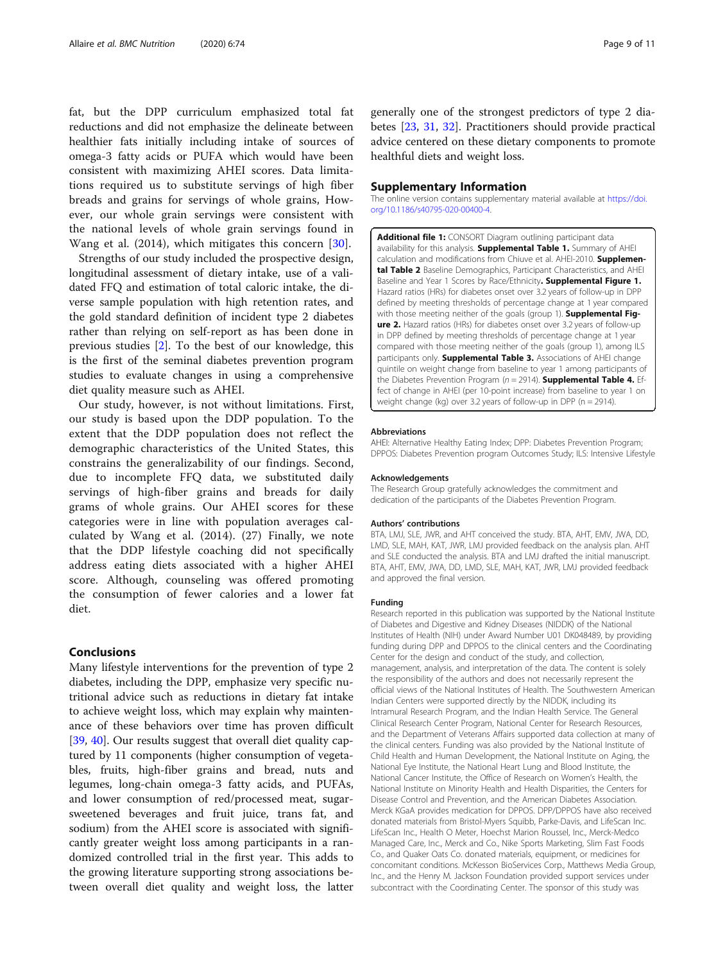<span id="page-8-0"></span>fat, but the DPP curriculum emphasized total fat reductions and did not emphasize the delineate between healthier fats initially including intake of sources of omega-3 fatty acids or PUFA which would have been consistent with maximizing AHEI scores. Data limitations required us to substitute servings of high fiber breads and grains for servings of whole grains, However, our whole grain servings were consistent with the national levels of whole grain servings found in Wang et al. (2014), which mitigates this concern [\[30](#page-9-0)].

Strengths of our study included the prospective design, longitudinal assessment of dietary intake, use of a validated FFQ and estimation of total caloric intake, the diverse sample population with high retention rates, and the gold standard definition of incident type 2 diabetes rather than relying on self-report as has been done in previous studies [\[2](#page-9-0)]. To the best of our knowledge, this is the first of the seminal diabetes prevention program studies to evaluate changes in using a comprehensive diet quality measure such as AHEI.

Our study, however, is not without limitations. First, our study is based upon the DDP population. To the extent that the DDP population does not reflect the demographic characteristics of the United States, this constrains the generalizability of our findings. Second, due to incomplete FFQ data, we substituted daily servings of high-fiber grains and breads for daily grams of whole grains. Our AHEI scores for these categories were in line with population averages calculated by Wang et al. (2014). (27) Finally, we note that the DDP lifestyle coaching did not specifically address eating diets associated with a higher AHEI score. Although, counseling was offered promoting the consumption of fewer calories and a lower fat diet.

## Conclusions

Many lifestyle interventions for the prevention of type 2 diabetes, including the DPP, emphasize very specific nutritional advice such as reductions in dietary fat intake to achieve weight loss, which may explain why maintenance of these behaviors over time has proven difficult [[39,](#page-10-0) [40\]](#page-10-0). Our results suggest that overall diet quality captured by 11 components (higher consumption of vegetables, fruits, high-fiber grains and bread, nuts and legumes, long-chain omega-3 fatty acids, and PUFAs, and lower consumption of red/processed meat, sugarsweetened beverages and fruit juice, trans fat, and sodium) from the AHEI score is associated with significantly greater weight loss among participants in a randomized controlled trial in the first year. This adds to the growing literature supporting strong associations between overall diet quality and weight loss, the latter

generally one of the strongest predictors of type 2 diabetes [[23](#page-9-0), [31](#page-10-0), [32\]](#page-10-0). Practitioners should provide practical advice centered on these dietary components to promote healthful diets and weight loss.

#### Supplementary Information

The online version contains supplementary material available at [https://doi.](https://doi.org/10.1186/s40795-020-00400-4) [org/10.1186/s40795-020-00400-4.](https://doi.org/10.1186/s40795-020-00400-4)

Additional file 1: CONSORT Diagram outlining participant data availability for this analysis. Supplemental Table 1. Summary of AHEI calculation and modifications from Chiuve et al. AHEI-2010. Supplemental Table 2 Baseline Demographics, Participant Characteristics, and AHEI Baseline and Year 1 Scores by Race/Ethnicity. Supplemental Figure 1. Hazard ratios (HRs) for diabetes onset over 3.2 years of follow-up in DPP defined by meeting thresholds of percentage change at 1 year compared with those meeting neither of the goals (group 1). Supplemental Figure 2. Hazard ratios (HRs) for diabetes onset over 3.2 years of follow-up in DPP defined by meeting thresholds of percentage change at 1 year compared with those meeting neither of the goals (group 1), among ILS participants only. **Supplemental Table 3.** Associations of AHEI change quintile on weight change from baseline to year 1 among participants of the Diabetes Prevention Program ( $n = 2914$ ). **Supplemental Table 4.** Effect of change in AHEI (per 10-point increase) from baseline to year 1 on weight change (kg) over 3.2 years of follow-up in DPP (n = 2914).

#### Abbreviations

AHEI: Alternative Healthy Eating Index; DPP: Diabetes Prevention Program; DPPOS: Diabetes Prevention program Outcomes Study; ILS: Intensive Lifestyle

#### Acknowledgements

The Research Group gratefully acknowledges the commitment and dedication of the participants of the Diabetes Prevention Program.

#### Authors' contributions

BTA, LMJ, SLE, JWR, and AHT conceived the study. BTA, AHT, EMV, JWA, DD, LMD, SLE, MAH, KAT, JWR, LMJ provided feedback on the analysis plan. AHT and SLE conducted the analysis. BTA and LMJ drafted the initial manuscript. BTA, AHT, EMV, JWA, DD, LMD, SLE, MAH, KAT, JWR, LMJ provided feedback and approved the final version.

#### Funding

Research reported in this publication was supported by the National Institute of Diabetes and Digestive and Kidney Diseases (NIDDK) of the National Institutes of Health (NIH) under Award Number U01 DK048489, by providing funding during DPP and DPPOS to the clinical centers and the Coordinating Center for the design and conduct of the study, and collection, management, analysis, and interpretation of the data. The content is solely the responsibility of the authors and does not necessarily represent the official views of the National Institutes of Health. The Southwestern American Indian Centers were supported directly by the NIDDK, including its Intramural Research Program, and the Indian Health Service. The General Clinical Research Center Program, National Center for Research Resources, and the Department of Veterans Affairs supported data collection at many of the clinical centers. Funding was also provided by the National Institute of Child Health and Human Development, the National Institute on Aging, the National Eye Institute, the National Heart Lung and Blood Institute, the National Cancer Institute, the Office of Research on Women's Health, the National Institute on Minority Health and Health Disparities, the Centers for Disease Control and Prevention, and the American Diabetes Association. Merck KGaA provides medication for DPPOS. DPP/DPPOS have also received donated materials from Bristol-Myers Squibb, Parke-Davis, and LifeScan Inc. LifeScan Inc., Health O Meter, Hoechst Marion Roussel, Inc., Merck-Medco Managed Care, Inc., Merck and Co., Nike Sports Marketing, Slim Fast Foods Co., and Quaker Oats Co. donated materials, equipment, or medicines for concomitant conditions. McKesson BioServices Corp., Matthews Media Group, Inc., and the Henry M. Jackson Foundation provided support services under subcontract with the Coordinating Center. The sponsor of this study was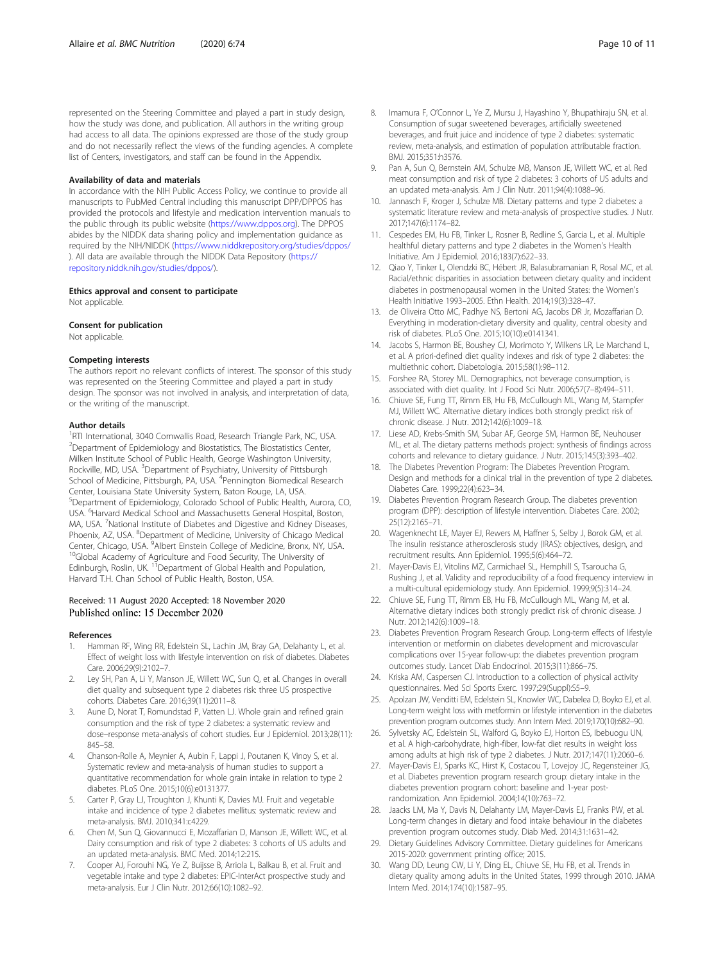<span id="page-9-0"></span>represented on the Steering Committee and played a part in study design, how the study was done, and publication. All authors in the writing group had access to all data. The opinions expressed are those of the study group and do not necessarily reflect the views of the funding agencies. A complete list of Centers, investigators, and staff can be found in the Appendix.

#### Availability of data and materials

In accordance with the NIH Public Access Policy, we continue to provide all manuscripts to PubMed Central including this manuscript DPP/DPPOS has provided the protocols and lifestyle and medication intervention manuals to the public through its public website [\(https://www.dppos.org\)](https://www.dppos.org). The DPPOS abides by the NIDDK data sharing policy and implementation guidance as required by the NIH/NIDDK [\(https://www.niddkrepository.org/studies/dppos/](https://www.niddkrepository.org/studies/dppos/) ). All data are available through the NIDDK Data Repository [\(https://](https://repository.niddk.nih.gov/studies/dppos/) [repository.niddk.nih.gov/studies/dppos/\)](https://repository.niddk.nih.gov/studies/dppos/).

#### Ethics approval and consent to participate

Not applicable.

#### Consent for publication

Not applicable.

#### Competing interests

The authors report no relevant conflicts of interest. The sponsor of this study was represented on the Steering Committee and played a part in study design. The sponsor was not involved in analysis, and interpretation of data, or the writing of the manuscript.

#### Author details

<sup>1</sup>RTI International, 3040 Cornwallis Road, Research Triangle Park, NC, USA. <sup>2</sup> Department of Epidemiology and Biostatistics, The Biostatistics Center, Milken Institute School of Public Health, George Washington University, Rockville, MD, USA. <sup>3</sup>Department of Psychiatry, University of Pittsburgh School of Medicine, Pittsburgh, PA, USA. <sup>4</sup> Pennington Biomedical Research Center, Louisiana State University System, Baton Rouge, LA, USA. 5 Department of Epidemiology, Colorado School of Public Health, Aurora, CO, USA. <sup>6</sup> Harvard Medical School and Massachusetts General Hospital, Boston, MA, USA. <sup>7</sup>National Institute of Diabetes and Digestive and Kidney Diseases, Phoenix, AZ, USA. <sup>8</sup>Department of Medicine, University of Chicago Medical Center, Chicago, USA. <sup>9</sup>Albert Einstein College of Medicine, Bronx, NY, USA. Center, Chicago, USA. <sup>9</sup>Albert Einstein College of Medicine, Bronx, NY, USA.<br><sup>10</sup>Global Academy of Agriculture and Food Security, The University of Edinburgh, Roslin, UK. <sup>11</sup> Department of Global Health and Population, Harvard T.H. Chan School of Public Health, Boston, USA.

## Received: 11 August 2020 Accepted: 18 November 2020 Published online: 15 December 2020

#### References

- 1. Hamman RF, Wing RR, Edelstein SL, Lachin JM, Bray GA, Delahanty L, et al. Effect of weight loss with lifestyle intervention on risk of diabetes. Diabetes Care. 2006;29(9):2102–7.
- Ley SH, Pan A, Li Y, Manson JE, Willett WC, Sun Q, et al. Changes in overall diet quality and subsequent type 2 diabetes risk: three US prospective cohorts. Diabetes Care. 2016;39(11):2011–8.
- 3. Aune D, Norat T, Romundstad P, Vatten LJ. Whole grain and refined grain consumption and the risk of type 2 diabetes: a systematic review and dose–response meta-analysis of cohort studies. Eur J Epidemiol. 2013;28(11): 845–58.
- 4. Chanson-Rolle A, Meynier A, Aubin F, Lappi J, Poutanen K, Vinoy S, et al. Systematic review and meta-analysis of human studies to support a quantitative recommendation for whole grain intake in relation to type 2 diabetes. PLoS One. 2015;10(6):e0131377.
- 5. Carter P, Gray LJ, Troughton J, Khunti K, Davies MJ. Fruit and vegetable intake and incidence of type 2 diabetes mellitus: systematic review and meta-analysis. BMJ. 2010;341:c4229.
- 6. Chen M, Sun Q, Giovannucci E, Mozaffarian D, Manson JE, Willett WC, et al. Dairy consumption and risk of type 2 diabetes: 3 cohorts of US adults and an updated meta-analysis. BMC Med. 2014;12:215.
- 7. Cooper AJ, Forouhi NG, Ye Z, Buijsse B, Arriola L, Balkau B, et al. Fruit and vegetable intake and type 2 diabetes: EPIC-InterAct prospective study and meta-analysis. Eur J Clin Nutr. 2012;66(10):1082–92.
- 8. Imamura F, O'Connor L, Ye Z, Mursu J, Hayashino Y, Bhupathiraju SN, et al. Consumption of sugar sweetened beverages, artificially sweetened beverages, and fruit juice and incidence of type 2 diabetes: systematic review, meta-analysis, and estimation of population attributable fraction. BMJ. 2015;351:h3576.
- 9. Pan A, Sun Q, Bernstein AM, Schulze MB, Manson JE, Willett WC, et al. Red meat consumption and risk of type 2 diabetes: 3 cohorts of US adults and an updated meta-analysis. Am J Clin Nutr. 2011;94(4):1088–96.
- 10. Jannasch F, Kroger J, Schulze MB. Dietary patterns and type 2 diabetes: a systematic literature review and meta-analysis of prospective studies. J Nutr. 2017;147(6):1174–82.
- 11. Cespedes EM, Hu FB, Tinker L, Rosner B, Redline S, Garcia L, et al. Multiple healthful dietary patterns and type 2 diabetes in the Women's Health Initiative. Am J Epidemiol. 2016;183(7):622–33.
- 12. Qiao Y, Tinker L, Olendzki BC, Hébert JR, Balasubramanian R, Rosal MC, et al. Racial/ethnic disparities in association between dietary quality and incident diabetes in postmenopausal women in the United States: the Women's Health Initiative 1993–2005. Ethn Health. 2014;19(3):328–47.
- 13. de Oliveira Otto MC, Padhye NS, Bertoni AG, Jacobs DR Jr, Mozaffarian D. Everything in moderation-dietary diversity and quality, central obesity and risk of diabetes. PLoS One. 2015;10(10):e0141341.
- 14. Jacobs S, Harmon BE, Boushey CJ, Morimoto Y, Wilkens LR, Le Marchand L, et al. A priori-defined diet quality indexes and risk of type 2 diabetes: the multiethnic cohort. Diabetologia. 2015;58(1):98–112.
- 15. Forshee RA, Storey ML. Demographics, not beverage consumption, is associated with diet quality. Int J Food Sci Nutr. 2006;57(7–8):494–511.
- 16. Chiuve SE, Fung TT, Rimm EB, Hu FB, McCullough ML, Wang M, Stampfer MJ, Willett WC. Alternative dietary indices both strongly predict risk of chronic disease. J Nutr. 2012;142(6):1009–18.
- 17. Liese AD, Krebs-Smith SM, Subar AF, George SM, Harmon BE, Neuhouser ML, et al. The dietary patterns methods project: synthesis of findings across cohorts and relevance to dietary guidance. J Nutr. 2015;145(3):393–402.
- 18. The Diabetes Prevention Program: The Diabetes Prevention Program. Design and methods for a clinical trial in the prevention of type 2 diabetes. Diabetes Care. 1999;22(4):623–34.
- 19. Diabetes Prevention Program Research Group. The diabetes prevention program (DPP): description of lifestyle intervention. Diabetes Care. 2002; 25(12):2165–71.
- 20. Wagenknecht LE, Mayer EJ, Rewers M, Haffner S, Selby J, Borok GM, et al. The insulin resistance atherosclerosis study (IRAS): objectives, design, and recruitment results. Ann Epidemiol. 1995;5(6):464–72.
- 21. Mayer-Davis EJ, Vitolins MZ, Carmichael SL, Hemphill S, Tsaroucha G, Rushing J, et al. Validity and reproducibility of a food frequency interview in a multi-cultural epidemiology study. Ann Epidemiol. 1999;9(5):314–24.
- 22. Chiuve SE, Fung TT, Rimm EB, Hu FB, McCullough ML, Wang M, et al. Alternative dietary indices both strongly predict risk of chronic disease. J Nutr. 2012;142(6):1009–18.
- 23. Diabetes Prevention Program Research Group. Long-term effects of lifestyle intervention or metformin on diabetes development and microvascular complications over 15-year follow-up: the diabetes prevention program outcomes study. Lancet Diab Endocrinol. 2015;3(11):866–75.
- 24. Kriska AM, Caspersen CJ. Introduction to a collection of physical activity questionnaires. Med Sci Sports Exerc. 1997;29(Suppl):S5–9.
- 25. Apolzan JW, Venditti EM, Edelstein SL, Knowler WC, Dabelea D, Boyko EJ, et al. Long-term weight loss with metformin or lifestyle intervention in the diabetes prevention program outcomes study. Ann Intern Med. 2019;170(10):682–90.
- 26. Sylvetsky AC, Edelstein SL, Walford G, Boyko EJ, Horton ES, Ibebuogu UN, et al. A high-carbohydrate, high-fiber, low-fat diet results in weight loss among adults at high risk of type 2 diabetes. J Nutr. 2017;147(11):2060–6.
- 27. Mayer-Davis EJ, Sparks KC, Hirst K, Costacou T, Lovejoy JC, Regensteiner JG, et al. Diabetes prevention program research group: dietary intake in the diabetes prevention program cohort: baseline and 1-year postrandomization. Ann Epidemiol. 2004;14(10):763–72.
- 28. Jaacks LM, Ma Y, Davis N, Delahanty LM, Mayer-Davis EJ, Franks PW, et al. Long-term changes in dietary and food intake behaviour in the diabetes prevention program outcomes study. Diab Med. 2014;31:1631–42.
- 29. Dietary Guidelines Advisory Committee. Dietary guidelines for Americans 2015-2020: government printing office; 2015.
- 30. Wang DD, Leung CW, Li Y, Ding EL, Chiuve SE, Hu FB, et al. Trends in dietary quality among adults in the United States, 1999 through 2010. JAMA Intern Med. 2014;174(10):1587–95.